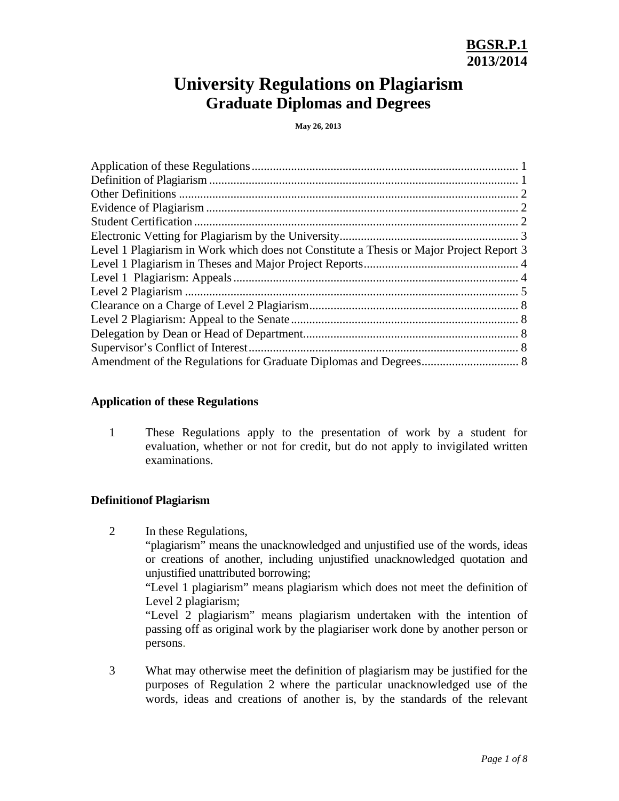# **University Regulations on Plagiarism Graduate Diplomas and Degrees**

**May 26, 2013** 

| Level 1 Plagiarism in Work which does not Constitute a Thesis or Major Project Report 3 |
|-----------------------------------------------------------------------------------------|
|                                                                                         |
|                                                                                         |
|                                                                                         |
|                                                                                         |
|                                                                                         |
|                                                                                         |
|                                                                                         |
|                                                                                         |
|                                                                                         |

## **Application of these Regulations**

1 These Regulations apply to the presentation of work by a student for evaluation, whether or not for credit, but do not apply to invigilated written examinations.

## **Definitionof Plagiarism**

- 2 In these Regulations, "plagiarism" means the unacknowledged and unjustified use of the words, ideas or creations of another, including unjustified unacknowledged quotation and unjustified unattributed borrowing; "Level 1 plagiarism" means plagiarism which does not meet the definition of Level 2 plagiarism; "Level 2 plagiarism" means plagiarism undertaken with the intention of passing off as original work by the plagiariser work done by another person or persons.
- 3 What may otherwise meet the definition of plagiarism may be justified for the purposes of Regulation 2 where the particular unacknowledged use of the words, ideas and creations of another is, by the standards of the relevant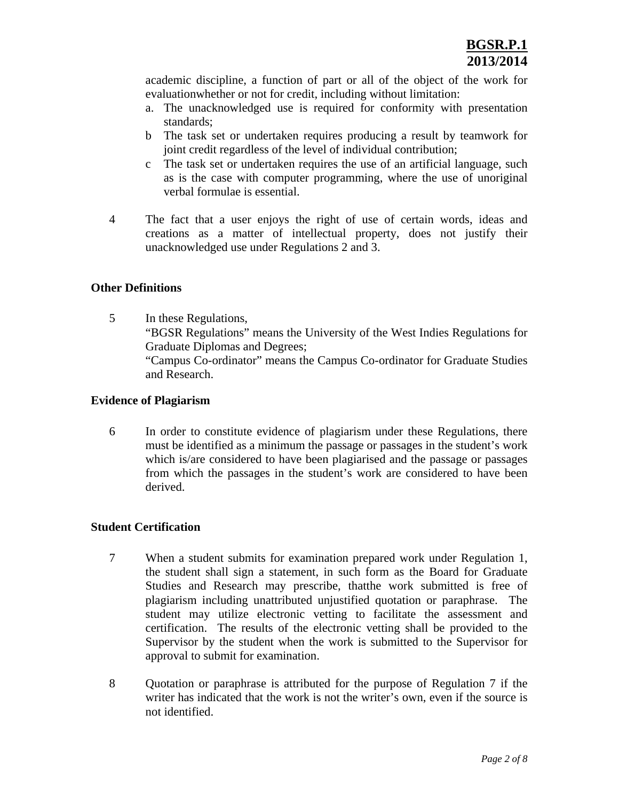academic discipline, a function of part or all of the object of the work for evaluationwhether or not for credit, including without limitation:

- a. The unacknowledged use is required for conformity with presentation standards;
- b The task set or undertaken requires producing a result by teamwork for joint credit regardless of the level of individual contribution;
- c The task set or undertaken requires the use of an artificial language, such as is the case with computer programming, where the use of unoriginal verbal formulae is essential.
- 4 The fact that a user enjoys the right of use of certain words, ideas and creations as a matter of intellectual property, does not justify their unacknowledged use under Regulations 2 and 3.

## **Other Definitions**

5 In these Regulations, "BGSR Regulations" means the University of the West Indies Regulations for Graduate Diplomas and Degrees; "Campus Co-ordinator" means the Campus Co-ordinator for Graduate Studies and Research.

# **Evidence of Plagiarism**

6 In order to constitute evidence of plagiarism under these Regulations, there must be identified as a minimum the passage or passages in the student's work which is/are considered to have been plagiarised and the passage or passages from which the passages in the student's work are considered to have been derived.

## **Student Certification**

- 7 When a student submits for examination prepared work under Regulation 1, the student shall sign a statement, in such form as the Board for Graduate Studies and Research may prescribe, thatthe work submitted is free of plagiarism including unattributed unjustified quotation or paraphrase. The student may utilize electronic vetting to facilitate the assessment and certification. The results of the electronic vetting shall be provided to the Supervisor by the student when the work is submitted to the Supervisor for approval to submit for examination.
- 8 Quotation or paraphrase is attributed for the purpose of Regulation 7 if the writer has indicated that the work is not the writer's own, even if the source is not identified.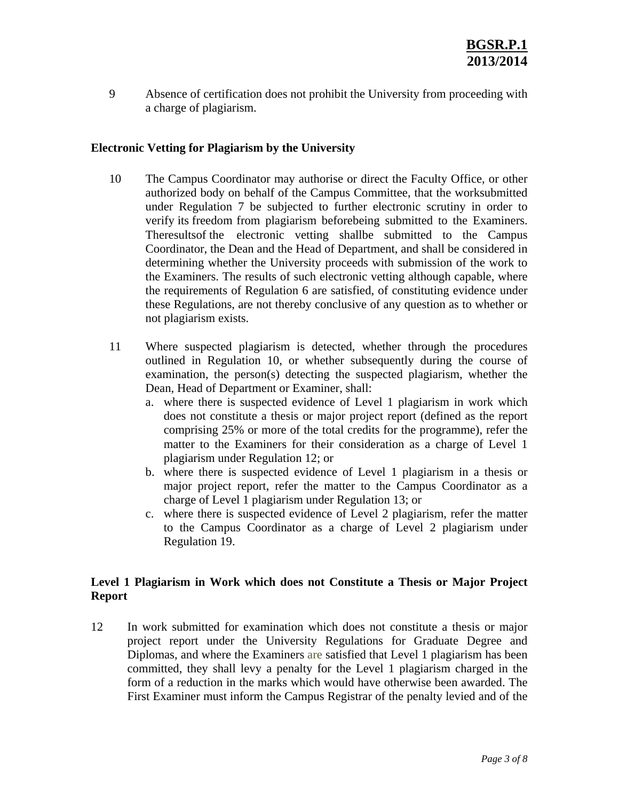9 Absence of certification does not prohibit the University from proceeding with a charge of plagiarism.

# **Electronic Vetting for Plagiarism by the University**

- 10 The Campus Coordinator may authorise or direct the Faculty Office, or other authorized body on behalf of the Campus Committee, that the worksubmitted under Regulation 7 be subjected to further electronic scrutiny in order to verify its freedom from plagiarism beforebeing submitted to the Examiners. Theresultsof the electronic vetting shallbe submitted to the Campus Coordinator, the Dean and the Head of Department, and shall be considered in determining whether the University proceeds with submission of the work to the Examiners. The results of such electronic vetting although capable, where the requirements of Regulation 6 are satisfied, of constituting evidence under these Regulations, are not thereby conclusive of any question as to whether or not plagiarism exists.
- 11 Where suspected plagiarism is detected, whether through the procedures outlined in Regulation 10, or whether subsequently during the course of examination, the person(s) detecting the suspected plagiarism, whether the Dean, Head of Department or Examiner, shall:
	- a. where there is suspected evidence of Level 1 plagiarism in work which does not constitute a thesis or major project report (defined as the report comprising 25% or more of the total credits for the programme), refer the matter to the Examiners for their consideration as a charge of Level 1 plagiarism under Regulation 12; or
	- b. where there is suspected evidence of Level 1 plagiarism in a thesis or major project report, refer the matter to the Campus Coordinator as a charge of Level 1 plagiarism under Regulation 13; or
	- c. where there is suspected evidence of Level 2 plagiarism, refer the matter to the Campus Coordinator as a charge of Level 2 plagiarism under Regulation 19.

# **Level 1 Plagiarism in Work which does not Constitute a Thesis or Major Project Report**

12 In work submitted for examination which does not constitute a thesis or major project report under the University Regulations for Graduate Degree and Diplomas, and where the Examiners are satisfied that Level 1 plagiarism has been committed, they shall levy a penalty for the Level 1 plagiarism charged in the form of a reduction in the marks which would have otherwise been awarded. The First Examiner must inform the Campus Registrar of the penalty levied and of the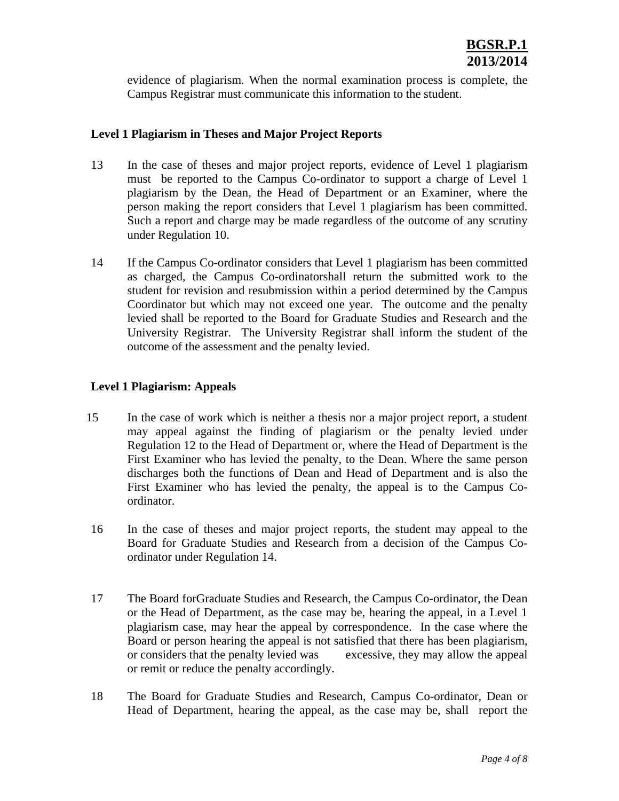evidence of plagiarism. When the normal examination process is complete, the Campus Registrar must communicate this information to the student.

# **Level 1 Plagiarism in Theses and Major Project Reports**

- 13 In the case of theses and major project reports, evidence of Level 1 plagiarism must be reported to the Campus Co-ordinator to support a charge of Level 1 plagiarism by the Dean, the Head of Department or an Examiner, where the person making the report considers that Level 1 plagiarism has been committed. Such a report and charge may be made regardless of the outcome of any scrutiny under Regulation 10.
- 14 If the Campus Co-ordinator considers that Level 1 plagiarism has been committed as charged, the Campus Co-ordinatorshall return the submitted work to the student for revision and resubmission within a period determined by the Campus Coordinator but which may not exceed one year. The outcome and the penalty levied shall be reported to the Board for Graduate Studies and Research and the University Registrar. The University Registrar shall inform the student of the outcome of the assessment and the penalty levied.

# **Level 1 Plagiarism: Appeals**

- 15 In the case of work which is neither a thesis nor a major project report, a student may appeal against the finding of plagiarism or the penalty levied under Regulation 12 to the Head of Department or, where the Head of Department is the First Examiner who has levied the penalty, to the Dean. Where the same person discharges both the functions of Dean and Head of Department and is also the First Examiner who has levied the penalty, the appeal is to the Campus Coordinator.
- 16 In the case of theses and major project reports, the student may appeal to the Board for Graduate Studies and Research from a decision of the Campus Coordinator under Regulation 14.
- 17 The Board forGraduate Studies and Research, the Campus Co-ordinator, the Dean or the Head of Department, as the case may be, hearing the appeal, in a Level 1 plagiarism case, may hear the appeal by correspondence. In the case where the Board or person hearing the appeal is not satisfied that there has been plagiarism, or considers that the penalty levied was excessive, they may allow the appeal or remit or reduce the penalty accordingly.
- 18 The Board for Graduate Studies and Research, Campus Co-ordinator, Dean or Head of Department, hearing the appeal, as the case may be, shall report the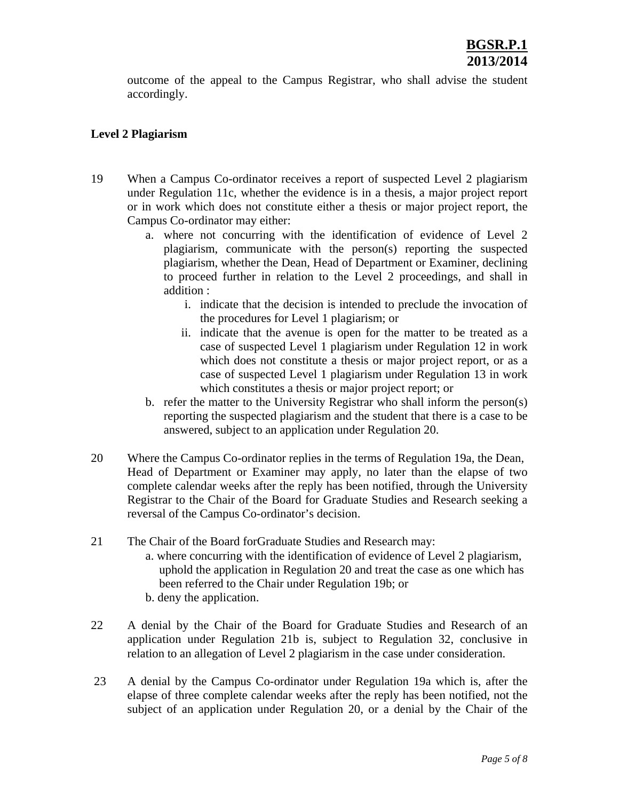outcome of the appeal to the Campus Registrar, who shall advise the student accordingly.

# **Level 2 Plagiarism**

- 19 When a Campus Co-ordinator receives a report of suspected Level 2 plagiarism under Regulation 11c, whether the evidence is in a thesis, a major project report or in work which does not constitute either a thesis or major project report, the Campus Co-ordinator may either:
	- a. where not concurring with the identification of evidence of Level 2 plagiarism, communicate with the person(s) reporting the suspected plagiarism, whether the Dean, Head of Department or Examiner, declining to proceed further in relation to the Level 2 proceedings, and shall in addition :
		- i. indicate that the decision is intended to preclude the invocation of the procedures for Level 1 plagiarism; or
		- ii. indicate that the avenue is open for the matter to be treated as a case of suspected Level 1 plagiarism under Regulation 12 in work which does not constitute a thesis or major project report, or as a case of suspected Level 1 plagiarism under Regulation 13 in work which constitutes a thesis or major project report; or
	- b. refer the matter to the University Registrar who shall inform the person(s) reporting the suspected plagiarism and the student that there is a case to be answered, subject to an application under Regulation 20.
- 20 Where the Campus Co-ordinator replies in the terms of Regulation 19a, the Dean, Head of Department or Examiner may apply, no later than the elapse of two complete calendar weeks after the reply has been notified, through the University Registrar to the Chair of the Board for Graduate Studies and Research seeking a reversal of the Campus Co-ordinator's decision.
- 21 The Chair of the Board forGraduate Studies and Research may:
	- a. where concurring with the identification of evidence of Level 2 plagiarism, uphold the application in Regulation 20 and treat the case as one which has been referred to the Chair under Regulation 19b; or
	- b. deny the application.
- 22 A denial by the Chair of the Board for Graduate Studies and Research of an application under Regulation 21b is, subject to Regulation 32, conclusive in relation to an allegation of Level 2 plagiarism in the case under consideration.
- 23 A denial by the Campus Co-ordinator under Regulation 19a which is, after the elapse of three complete calendar weeks after the reply has been notified, not the subject of an application under Regulation 20, or a denial by the Chair of the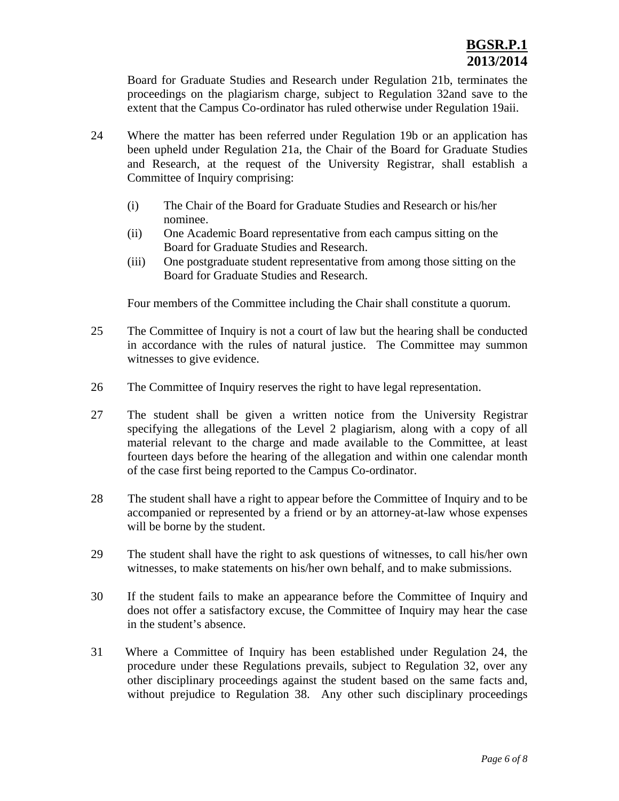Board for Graduate Studies and Research under Regulation 21b, terminates the proceedings on the plagiarism charge, subject to Regulation 32and save to the extent that the Campus Co-ordinator has ruled otherwise under Regulation 19aii.

- 24 Where the matter has been referred under Regulation 19b or an application has been upheld under Regulation 21a, the Chair of the Board for Graduate Studies and Research, at the request of the University Registrar, shall establish a Committee of Inquiry comprising:
	- (i) The Chair of the Board for Graduate Studies and Research or his/her nominee.
	- (ii) One Academic Board representative from each campus sitting on the Board for Graduate Studies and Research.
	- (iii) One postgraduate student representative from among those sitting on the Board for Graduate Studies and Research.

Four members of the Committee including the Chair shall constitute a quorum.

- 25 The Committee of Inquiry is not a court of law but the hearing shall be conducted in accordance with the rules of natural justice. The Committee may summon witnesses to give evidence.
- 26 The Committee of Inquiry reserves the right to have legal representation.
- 27 The student shall be given a written notice from the University Registrar specifying the allegations of the Level 2 plagiarism, along with a copy of all material relevant to the charge and made available to the Committee, at least fourteen days before the hearing of the allegation and within one calendar month of the case first being reported to the Campus Co-ordinator.
- 28 The student shall have a right to appear before the Committee of Inquiry and to be accompanied or represented by a friend or by an attorney-at-law whose expenses will be borne by the student.
- 29 The student shall have the right to ask questions of witnesses, to call his/her own witnesses, to make statements on his/her own behalf, and to make submissions.
- 30 If the student fails to make an appearance before the Committee of Inquiry and does not offer a satisfactory excuse, the Committee of Inquiry may hear the case in the student's absence.
- 31 Where a Committee of Inquiry has been established under Regulation 24, the procedure under these Regulations prevails, subject to Regulation 32, over any other disciplinary proceedings against the student based on the same facts and, without prejudice to Regulation 38. Any other such disciplinary proceedings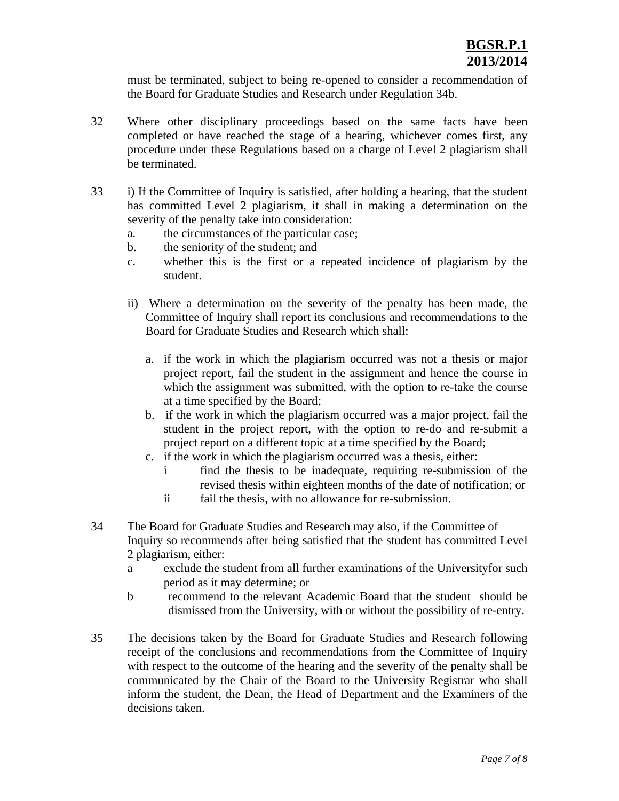must be terminated, subject to being re-opened to consider a recommendation of the Board for Graduate Studies and Research under Regulation 34b.

- 32 Where other disciplinary proceedings based on the same facts have been completed or have reached the stage of a hearing, whichever comes first, any procedure under these Regulations based on a charge of Level 2 plagiarism shall be terminated.
- 33 i) If the Committee of Inquiry is satisfied, after holding a hearing, that the student has committed Level 2 plagiarism, it shall in making a determination on the severity of the penalty take into consideration:
	- a. the circumstances of the particular case;
	- b. the seniority of the student; and
	- c. whether this is the first or a repeated incidence of plagiarism by the student.
	- ii) Where a determination on the severity of the penalty has been made, the Committee of Inquiry shall report its conclusions and recommendations to the Board for Graduate Studies and Research which shall:
		- a. if the work in which the plagiarism occurred was not a thesis or major project report, fail the student in the assignment and hence the course in which the assignment was submitted, with the option to re-take the course at a time specified by the Board;
		- b. if the work in which the plagiarism occurred was a major project, fail the student in the project report, with the option to re-do and re-submit a project report on a different topic at a time specified by the Board;
		- c. if the work in which the plagiarism occurred was a thesis, either:
			- i find the thesis to be inadequate, requiring re-submission of the revised thesis within eighteen months of the date of notification; or
			- ii fail the thesis, with no allowance for re-submission.
- 34 The Board for Graduate Studies and Research may also, if the Committee of Inquiry so recommends after being satisfied that the student has committed Level 2 plagiarism, either:
	- a exclude the student from all further examinations of the Universityfor such period as it may determine; or
	- b recommend to the relevant Academic Board that the student should be dismissed from the University, with or without the possibility of re-entry.
- 35 The decisions taken by the Board for Graduate Studies and Research following receipt of the conclusions and recommendations from the Committee of Inquiry with respect to the outcome of the hearing and the severity of the penalty shall be communicated by the Chair of the Board to the University Registrar who shall inform the student, the Dean, the Head of Department and the Examiners of the decisions taken.